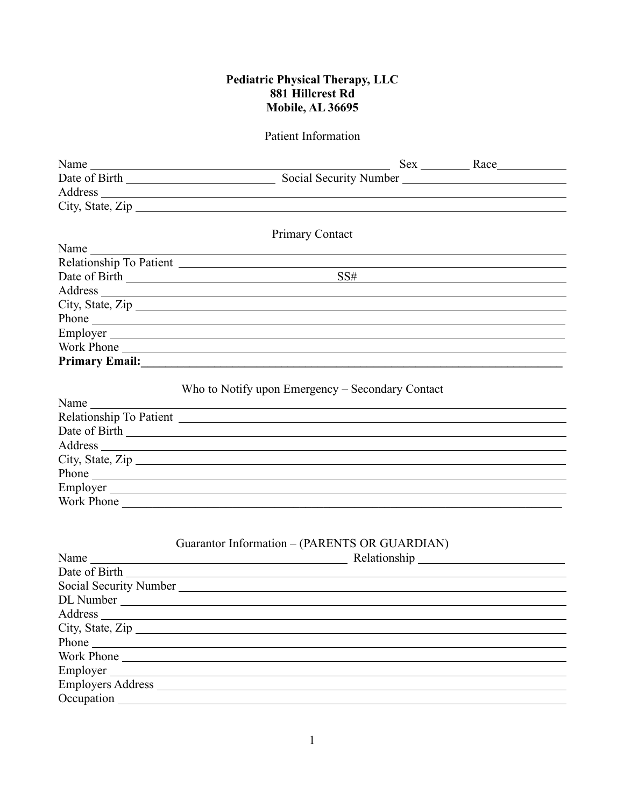#### **Pediatric Physical Therapy, LLC 881 Hillcrest Rd Mobile, AL 36695**

#### Patient Information

| Name                |                                                                                                                                                                                                                               |
|---------------------|-------------------------------------------------------------------------------------------------------------------------------------------------------------------------------------------------------------------------------|
|                     |                                                                                                                                                                                                                               |
|                     |                                                                                                                                                                                                                               |
|                     | City, State, Zip                                                                                                                                                                                                              |
|                     |                                                                                                                                                                                                                               |
|                     | <b>Primary Contact</b>                                                                                                                                                                                                        |
|                     |                                                                                                                                                                                                                               |
|                     |                                                                                                                                                                                                                               |
|                     |                                                                                                                                                                                                                               |
|                     |                                                                                                                                                                                                                               |
|                     | City, State, Zip                                                                                                                                                                                                              |
|                     |                                                                                                                                                                                                                               |
|                     |                                                                                                                                                                                                                               |
|                     | Work Phone                                                                                                                                                                                                                    |
|                     | Primary Email: No. 2014 19:20 19:20 19:20 19:20 19:20 19:20 19:20 19:20 19:20 19:20 19:20 19:20 19:20 19:20 19:20 19:20 19:20 19:20 19:20 19:20 19:20 19:20 19:20 19:20 19:20 19:20 19:20 19:20 19:20 19:20 19:20 19:20 19:20 |
|                     |                                                                                                                                                                                                                               |
|                     | Who to Notify upon Emergency – Secondary Contact                                                                                                                                                                              |
| Name                |                                                                                                                                                                                                                               |
|                     |                                                                                                                                                                                                                               |
|                     |                                                                                                                                                                                                                               |
|                     |                                                                                                                                                                                                                               |
|                     | City, State, Zip                                                                                                                                                                                                              |
|                     |                                                                                                                                                                                                                               |
|                     |                                                                                                                                                                                                                               |
|                     | Work Phone                                                                                                                                                                                                                    |
|                     |                                                                                                                                                                                                                               |
|                     | Guarantor Information – (PARENTS OR GUARDIAN)                                                                                                                                                                                 |
|                     |                                                                                                                                                                                                                               |
| Date of Birth       |                                                                                                                                                                                                                               |
|                     |                                                                                                                                                                                                                               |
|                     |                                                                                                                                                                                                                               |
| Address             |                                                                                                                                                                                                                               |
| City, State, Zip    |                                                                                                                                                                                                                               |
| Phone $\frac{1}{2}$ |                                                                                                                                                                                                                               |
| Work Phone          |                                                                                                                                                                                                                               |
|                     |                                                                                                                                                                                                                               |
| Employers Address   |                                                                                                                                                                                                                               |
|                     |                                                                                                                                                                                                                               |
|                     |                                                                                                                                                                                                                               |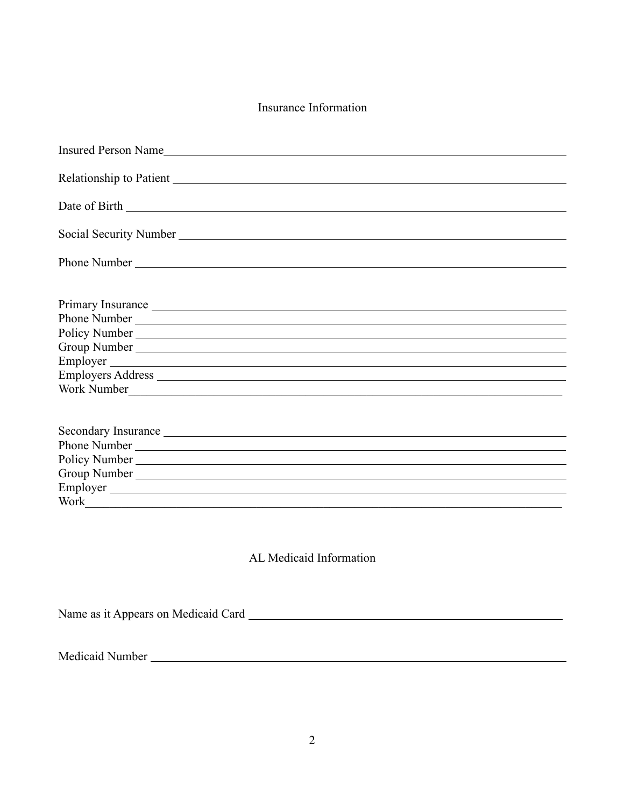## Insurance Information

| Employer<br>Secondary Insurance League and Contract the Contract of the Contract of the Contract of the Contract of the Contract of the Contract of the Contract of the Contract of the Contract of the Contract of the Contract of the Co<br>Employer | Insured Person Name |
|--------------------------------------------------------------------------------------------------------------------------------------------------------------------------------------------------------------------------------------------------------|---------------------|
|                                                                                                                                                                                                                                                        |                     |
|                                                                                                                                                                                                                                                        |                     |
|                                                                                                                                                                                                                                                        |                     |
|                                                                                                                                                                                                                                                        |                     |
|                                                                                                                                                                                                                                                        |                     |
|                                                                                                                                                                                                                                                        |                     |
|                                                                                                                                                                                                                                                        |                     |
|                                                                                                                                                                                                                                                        |                     |
|                                                                                                                                                                                                                                                        |                     |
|                                                                                                                                                                                                                                                        |                     |
|                                                                                                                                                                                                                                                        |                     |
|                                                                                                                                                                                                                                                        |                     |
|                                                                                                                                                                                                                                                        |                     |
|                                                                                                                                                                                                                                                        |                     |
|                                                                                                                                                                                                                                                        |                     |
|                                                                                                                                                                                                                                                        |                     |
|                                                                                                                                                                                                                                                        |                     |
|                                                                                                                                                                                                                                                        |                     |

# AL Medicaid Information

Name as it Appears on Medicaid Card

Medicaid Number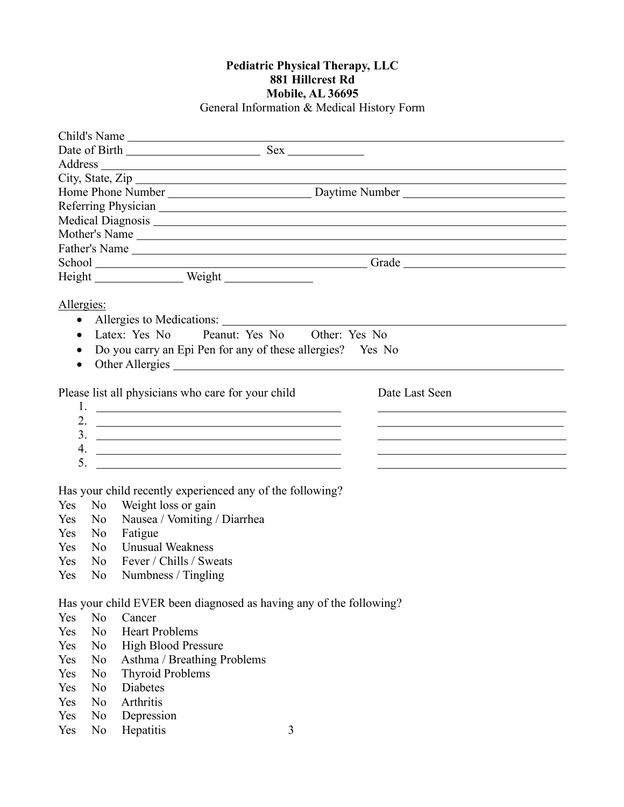### **Pediatric Physical Therapy, LLC 881 Hillcrest Rd Mobile, AL 36695** General Information & Medical History Form

|                                                        | Child's Name                                                                                                                                                                                                                     |
|--------------------------------------------------------|----------------------------------------------------------------------------------------------------------------------------------------------------------------------------------------------------------------------------------|
|                                                        |                                                                                                                                                                                                                                  |
|                                                        |                                                                                                                                                                                                                                  |
|                                                        | City, State, Zip                                                                                                                                                                                                                 |
|                                                        |                                                                                                                                                                                                                                  |
|                                                        |                                                                                                                                                                                                                                  |
|                                                        |                                                                                                                                                                                                                                  |
|                                                        |                                                                                                                                                                                                                                  |
|                                                        |                                                                                                                                                                                                                                  |
|                                                        |                                                                                                                                                                                                                                  |
|                                                        | School<br>Height Weight Weight Crack Crack Crack Crack Crack Crack Crack Crack Crack Crack Crack Crack Crack Crack Crack Crack Crack Crack Crack Crack Crack Crack Crack Crack Crack Crack Crack Crack Crack Crack Crack Crack C |
| Allergies:<br>$\bullet$<br>$\bullet$<br>٠<br>$\bullet$ | Allergies to Medications:<br>Latex: Yes No Peanut: Yes No Other: Yes No<br>Do you carry an Epi Pen for any of these allergies? Yes No<br>Other Allergies                                                                         |
|                                                        | Please list all physicians who care for your child<br>Date Last Seen                                                                                                                                                             |
|                                                        |                                                                                                                                                                                                                                  |
|                                                        | 2. $\overline{\phantom{a}}$                                                                                                                                                                                                      |
|                                                        | $\frac{3}{2}$                                                                                                                                                                                                                    |
| 5.                                                     |                                                                                                                                                                                                                                  |
|                                                        | <u> 1989 - Johann John Stein, markin fyrstu og fyrstu og fyrir og fyrir og fyrir og fyrir og fyrir og fyrir og f</u>                                                                                                             |
|                                                        | Has your child recently experienced any of the following?                                                                                                                                                                        |
| N <sub>0</sub><br>Yes                                  | Weight loss or gain                                                                                                                                                                                                              |
| N <sub>o</sub><br>Yes                                  | Nausea / Vomiting / Diarrhea                                                                                                                                                                                                     |
| Yes<br>N <sub>0</sub>                                  | Fatigue                                                                                                                                                                                                                          |
| N <sub>o</sub><br>Yes                                  | <b>Unusual Weakness</b>                                                                                                                                                                                                          |
| Yes<br>N <sub>0</sub>                                  | Fever / Chills / Sweats                                                                                                                                                                                                          |
| Yes<br>N <sub>0</sub>                                  | Numbness / Tingling                                                                                                                                                                                                              |
|                                                        |                                                                                                                                                                                                                                  |
|                                                        | Has your child EVER been diagnosed as having any of the following?                                                                                                                                                               |
| N <sub>o</sub><br>Yes                                  | Cancer                                                                                                                                                                                                                           |
| N <sub>0</sub><br>Yes                                  | <b>Heart Problems</b>                                                                                                                                                                                                            |
| Yes<br>N <sub>0</sub>                                  | High Blood Pressure                                                                                                                                                                                                              |
| Yes<br>N <sub>0</sub>                                  | Asthma / Breathing Problems                                                                                                                                                                                                      |
| N <sub>0</sub><br>Yes                                  | <b>Thyroid Problems</b>                                                                                                                                                                                                          |
| N <sub>0</sub><br>Yes                                  | Diabetes                                                                                                                                                                                                                         |

- Yes No Arthritis
- Yes No Depression<br>Yes No Hepatitis No Hepatitis 3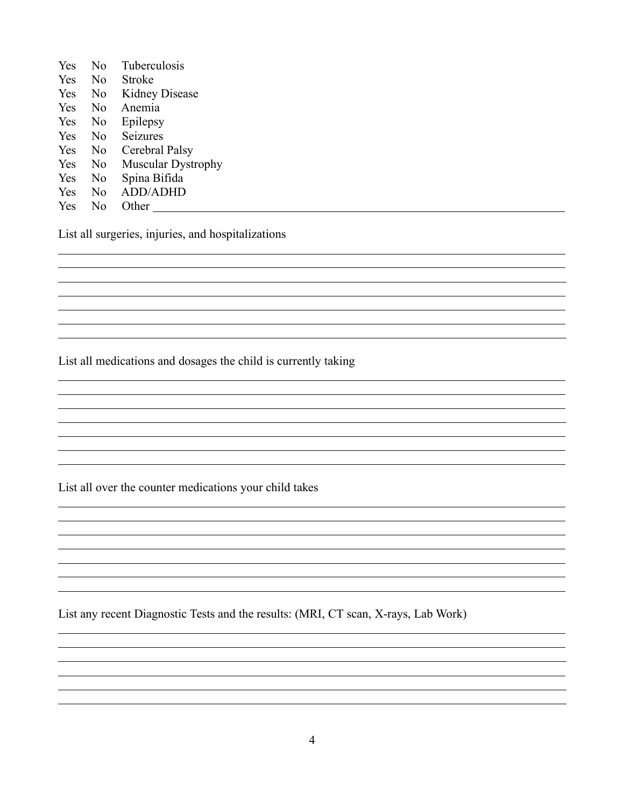| Yes | N <sub>0</sub> | Tuberculosis              |
|-----|----------------|---------------------------|
| Yes | No             | Stroke                    |
| Yes | N <sub>0</sub> | <b>Kidney Disease</b>     |
| Yes | No             | Anemia                    |
| Yes | No             | Epilepsy                  |
| Yes | N <sub>0</sub> | Seizures                  |
| Yes | N <sub>0</sub> | Cerebral Palsy            |
| Yes | N <sub>0</sub> | <b>Muscular Dystrophy</b> |
| Yes | No             | Spina Bifida              |
| Yes | N <sub>0</sub> | <b>ADD/ADHD</b>           |
| Yes | No             | Other                     |

 $\overline{a}$  $\overline{a}$ 

 $\overline{a}$  $\overline{a}$ 

 $\overline{a}$ 

 $\overline{a}$  $\overline{a}$  $\overline{a}$  $\overline{a}$  $\overline{a}$  $\overline{a}$  $\overline{a}$ 

 $\overline{a}$ 

 $\overline{a}$  $\overline{a}$ 

 $\overline{a}$  $\overline{a}$ 

 $\overline{a}$  $\overline{a}$  $\overline{a}$  $\overline{a}$  $\overline{a}$  $\overline{a}$ 

List all surgeries, injuries, and hospitalizations

List all medications and dosages the child is currently taking

List all over the counter medications your child takes

List any recent Diagnostic Tests and the results: (MRI, CT scan, X-rays, Lab Work)

<u> 1980 - Johann Stoff, die erste besteht der Stoffens und die Stoffens und die Stoffens und die Stoffens und die</u>

 $\overline{a}$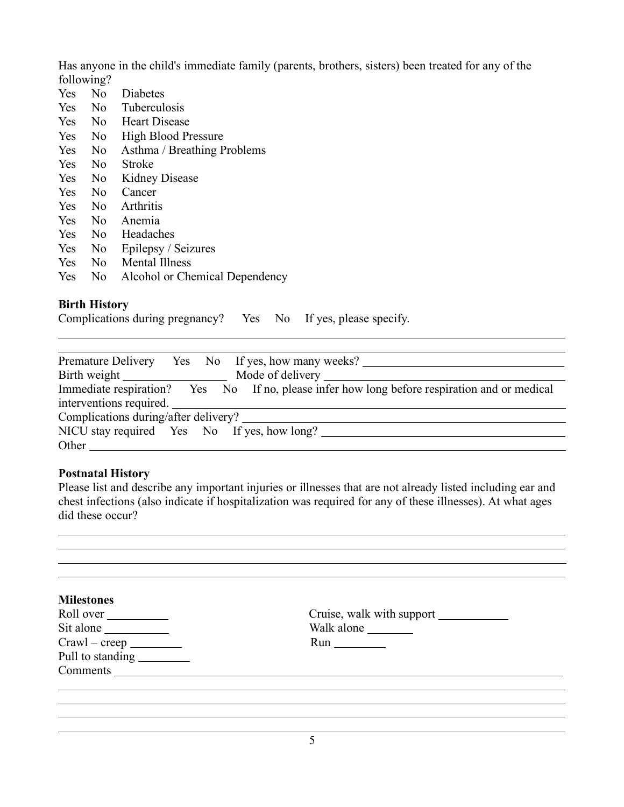Has anyone in the child's immediate family (parents, brothers, sisters) been treated for any of the following?

- Yes No Diabetes Yes No Tuberculosis Yes No Heart Disease Yes No High Blood Pressure Yes No Asthma / Breathing Problems Yes No Stroke Yes No Kidney Disease Yes No Cancer Yes No Arthritis Yes No Anemia Yes No Headaches Yes No Epilepsy / Seizures Yes No Mental Illness
- Yes No Alcohol or Chemical Dependency

#### **Birth History**

 $\overline{a}$ 

| Complications during pregnancy? |  |  | Yes No If yes, please specify. |
|---------------------------------|--|--|--------------------------------|
|---------------------------------|--|--|--------------------------------|

| Premature Delivery Yes No If yes, how many weeks?                                            |
|----------------------------------------------------------------------------------------------|
|                                                                                              |
| Immediate respiration? Yes No If no, please infer how long before respiration and or medical |
| interventions required.                                                                      |
| Complications during/after delivery?                                                         |
| NICU stay required Yes No If yes, how long?                                                  |
| Other                                                                                        |

#### **Postnatal History**

Please list and describe any important injuries or illnesses that are not already listed including ear and chest infections (also indicate if hospitalization was required for any of these illnesses). At what ages did these occur?

| <b>Milestones</b>          |            |
|----------------------------|------------|
| Roll over                  |            |
| Sit alone                  | Walk alone |
| $Crawl - creep$            |            |
| Pull to standing _________ |            |
|                            |            |
|                            |            |
|                            |            |
|                            |            |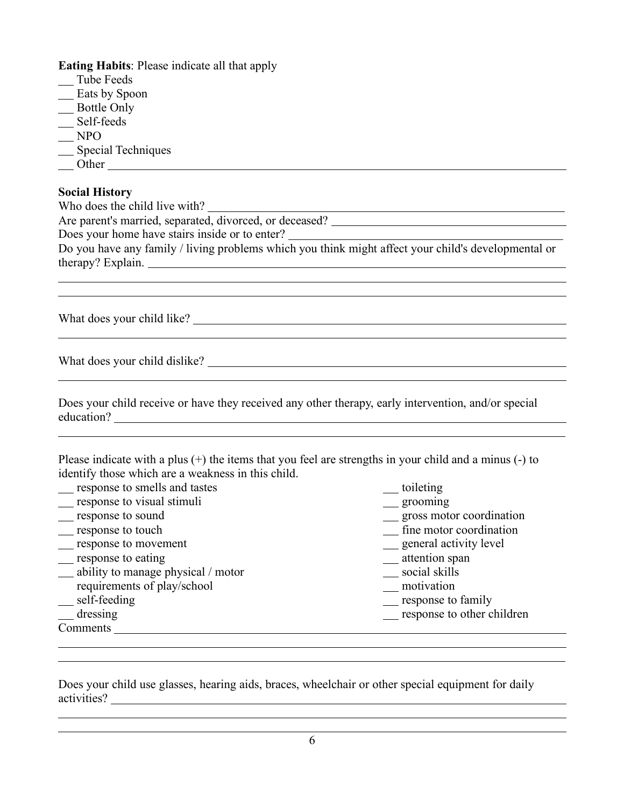**Eating Habits**: Please indicate all that apply

- Tube Feeds
- Eats by Spoon
- Bottle Only
- \_\_ Self-feeds
- $NPO$

 $\overline{a}$  $\overline{a}$ 

 $\overline{a}$ 

 $\overline{a}$ 

 $\overline{a}$ 

 $\overline{a}$  $\overline{a}$ 

 $\overline{a}$  $\overline{a}$ 

- Special Techniques
- Other experiences and the contract of the contract of the contract of the contract of the contract of the contract of the contract of the contract of the contract of the contract of the contract of the contract of the cont

## **Social History**

Who does the child live with?

Are parent's married, separated, divorced, or deceased?

Does your home have stairs inside or to enter?

Do you have any family / living problems which you think might affect your child's developmental or therapy? Explain.

What does your child like?

What does your child dislike?

Does your child receive or have they received any other therapy, early intervention, and/or special education?

Please indicate with a plus (+) the items that you feel are strengths in your child and a minus (-) to identify those which are a weakness in this child.

samples to smells and tastes the state of the state of the state of the state of the state of the state of the state of the state of the state of the state of the state of the state of the state of the state of the state o response to visual stimuli grooming grooming suppose to sound gross motor coordination response to touch fine motor coordination \_\_\_ response to movement \_\_\_\_ general activity level \_\_\_\_ general activity level \_\_\_\_ general activity level response to eating<br>
attention spanning ability to manage physical / motor<br>
attention spanning ability to manage physical / motor ability to manage physical / motor social skills requirements of play/school<br>
self-feeding self-feeding response to family dressing response to other children **Comments** 

Does your child use glasses, hearing aids, braces, wheelchair or other special equipment for daily activities?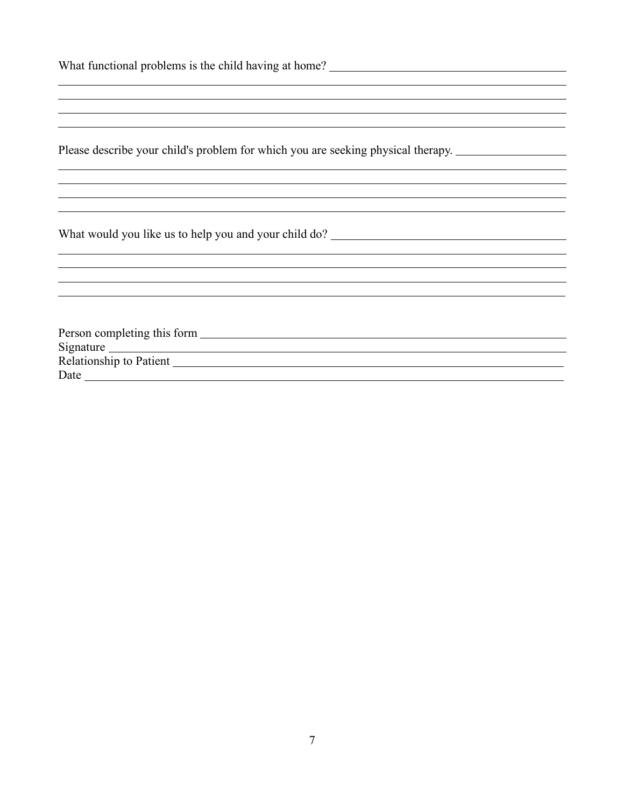| <u> 1989 - Johann Stoff, deutscher Stoff, der Stoff, der Stoff, der Stoff, der Stoff, der Stoff, der Stoff, der S</u> |  |  |
|-----------------------------------------------------------------------------------------------------------------------|--|--|
| <u> 1989 - Johann John Stone, mension berkenaar di sebagai personal di sebagai personal di sebagai personal di s</u>  |  |  |
|                                                                                                                       |  |  |
|                                                                                                                       |  |  |
| Please describe your child's problem for which you are seeking physical therapy.                                      |  |  |
|                                                                                                                       |  |  |
|                                                                                                                       |  |  |
|                                                                                                                       |  |  |
|                                                                                                                       |  |  |
| What would you like us to help you and your child do? ___________________________                                     |  |  |
|                                                                                                                       |  |  |
|                                                                                                                       |  |  |
|                                                                                                                       |  |  |
|                                                                                                                       |  |  |
|                                                                                                                       |  |  |
| Person completing this form                                                                                           |  |  |
|                                                                                                                       |  |  |
|                                                                                                                       |  |  |
|                                                                                                                       |  |  |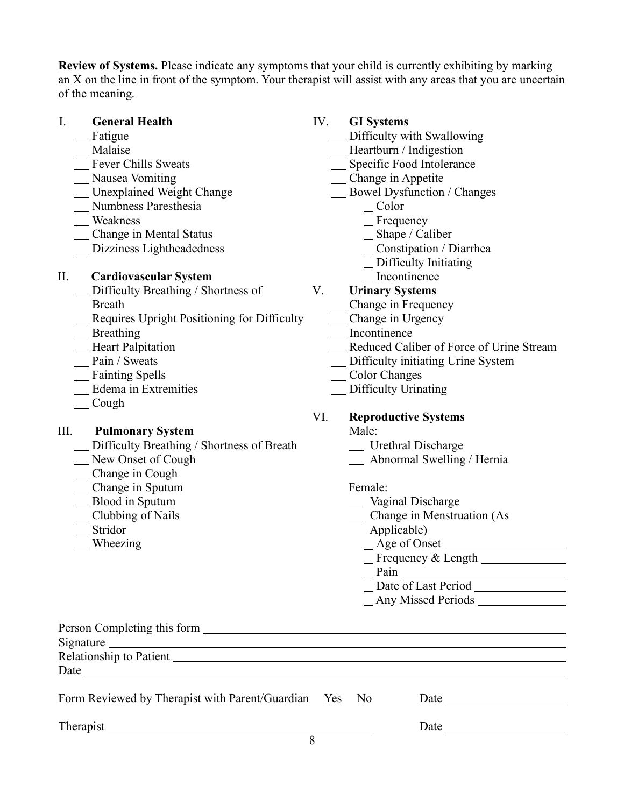**Review of Systems.** Please indicate any symptoms that your child is currently exhibiting by marking an X on the line in front of the symptom. Your therapist will assist with any areas that you are uncertain of the meaning.

### I. **General Health**

- \_\_ Fatigue
- \_\_ Malaise
- Fever Chills Sweats
- Nausea Vomiting
- Unexplained Weight Change
- Numbness Paresthesia
- Weakness
- Change in Mental Status
- Dizziness Lightheadedness

## II. **Cardiovascular System**

- Difficulty Breathing / Shortness of Breath
- Requires Upright Positioning for Difficulty
- \_\_ Breathing
- **Heart Palpitation**
- Pain / Sweats
- Fainting Spells
- Edema in Extremities
- $\_\_$ Cough

## III. **Pulmonary System**

- Difficulty Breathing / Shortness of Breath
- New Onset of Cough
- Change in Cough
- Change in Sputum
- Blood in Sputum
- \_Clubbing of Nails
- Stridor
- Wheezing

## IV. **GI Systems**

- Difficulty with Swallowing
- Heartburn / Indigestion
- Specific Food Intolerance
- Change in Appetite
- Bowel Dysfunction / Changes
	- Color
	- Frequency
	- Shape / Caliber
	- Constipation / Diarrhea
	- Difficulty Initiating
	- Incontinence

## V. **Urinary Systems**

- Change in Frequency
- Change in Urgency
- \_\_ Incontinence
- Reduced Caliber of Force of Urine Stream
- Difficulty initiating Urine System
- Color Changes
- \_\_ Difficulty Urinating

## VI. **Reproductive Systems**

- Male:
	- \_\_ Urethral Discharge
	- Abnormal Swelling / Hernia

### Female:

- \_\_ Vaginal Discharge
- Change in Menstruation (As Applicable)
	- Age of Onset
	- Frequency & Length
	- Pain and the state of the state of the state of the state of the state of the state of the state of the state of the state of the state of the state of the state of the state of the state of the state of the state of the s
	- Date of Last Period
	- Any Missed Periods

| $Signature \_$                                         |  |                                                                                                                                                                                                                               |  |
|--------------------------------------------------------|--|-------------------------------------------------------------------------------------------------------------------------------------------------------------------------------------------------------------------------------|--|
| Relationship to Patient                                |  |                                                                                                                                                                                                                               |  |
| Date $\qquad \qquad$                                   |  |                                                                                                                                                                                                                               |  |
| Form Reviewed by Therapist with Parent/Guardian Yes No |  | Date and the same state of the state of the state of the state of the state of the state of the state of the state of the state of the state of the state of the state of the state of the state of the state of the state of |  |
| Therapist                                              |  | Date                                                                                                                                                                                                                          |  |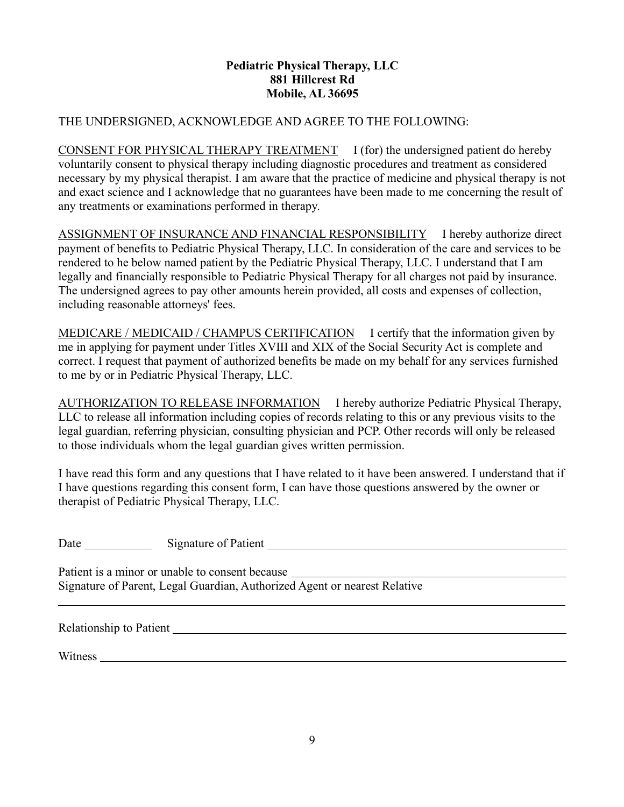### **Pediatric Physical Therapy, LLC 881 Hillcrest Rd Mobile, AL 36695**

#### THE UNDERSIGNED, ACKNOWLEDGE AND AGREE TO THE FOLLOWING:

CONSENT FOR PHYSICAL THERAPY TREATMENT I (for) the undersigned patient do hereby voluntarily consent to physical therapy including diagnostic procedures and treatment as considered necessary by my physical therapist. I am aware that the practice of medicine and physical therapy is not and exact science and I acknowledge that no guarantees have been made to me concerning the result of any treatments or examinations performed in therapy.

ASSIGNMENT OF INSURANCE AND FINANCIAL RESPONSIBILITY I hereby authorize direct payment of benefits to Pediatric Physical Therapy, LLC. In consideration of the care and services to be rendered to he below named patient by the Pediatric Physical Therapy, LLC. I understand that I am legally and financially responsible to Pediatric Physical Therapy for all charges not paid by insurance. The undersigned agrees to pay other amounts herein provided, all costs and expenses of collection, including reasonable attorneys' fees.

MEDICARE / MEDICAID / CHAMPUS CERTIFICATION I certify that the information given by me in applying for payment under Titles XVIII and XIX of the Social Security Act is complete and correct. I request that payment of authorized benefits be made on my behalf for any services furnished to me by or in Pediatric Physical Therapy, LLC.

AUTHORIZATION TO RELEASE INFORMATION I hereby authorize Pediatric Physical Therapy, LLC to release all information including copies of records relating to this or any previous visits to the legal guardian, referring physician, consulting physician and PCP. Other records will only be released to those individuals whom the legal guardian gives written permission.

I have read this form and any questions that I have related to it have been answered. I understand that if I have questions regarding this consent form, I can have those questions answered by the owner or therapist of Pediatric Physical Therapy, LLC.

Date Signature of Patient New York Channel Channel Channel Channel Channel Channel Channel Channel Channel Channel Channel Channel Channel Channel Channel Channel Channel Channel Channel Channel Channel Channel Channel Cha

Patient is a minor or unable to consent because Signature of Parent, Legal Guardian, Authorized Agent or nearest Relative

Relationship to Patient

Witness **Witness**